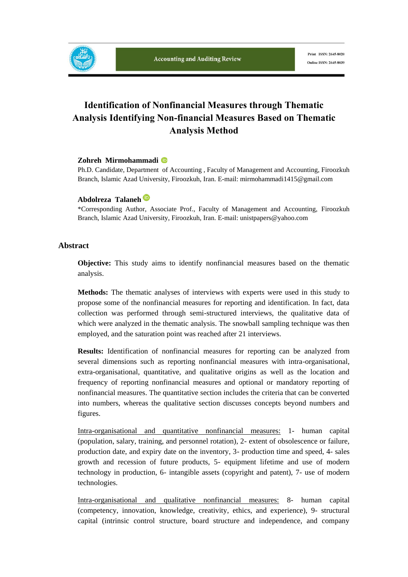

# **Identification of Nonfinancial Measures through Thematic Analysis Identifying Non-financial Measures Based on Thematic Analysis Method**

#### **Zohreh Mirmohammadi**

Ph.D. Candidate, Department of Accounting , Faculty of Management and Accounting, Firoozkuh Branch, Islamic Azad University, Firoozkuh, Iran. E-mail: mirmohammadi1415@gmail.com

#### **Abdolreza Talaneh**

\*Corresponding Author, Associate Prof., Faculty of Management and Accounting, Firoozkuh Branch, Islamic Azad University, Firoozkuh, Iran. E-mail: unistpapers@yahoo.com

#### **Abstract**

**Objective:** This study aims to identify nonfinancial measures based on the thematic analysis.

**Methods:** The thematic analyses of interviews with experts were used in this study to propose some of the nonfinancial measures for reporting and identification. In fact, data collection was performed through semi-structured interviews, the qualitative data of which were analyzed in the thematic analysis. The snowball sampling technique was then employed, and the saturation point was reached after 21 interviews.

**Results:** Identification of nonfinancial measures for reporting can be analyzed from several dimensions such as reporting nonfinancial measures with intra-organisational, extra-organisational, quantitative, and qualitative origins as well as the location and frequency of reporting nonfinancial measures and optional or mandatory reporting of nonfinancial measures. The quantitative section includes the criteria that can be converted into numbers, whereas the qualitative section discusses concepts beyond numbers and figures.

Intra-organisational and quantitative nonfinancial measures: 1- human capital (population, salary, training, and personnel rotation), 2- extent of obsolescence or failure, production date, and expiry date on the inventory, 3- production time and speed, 4- sales growth and recession of future products, 5- equipment lifetime and use of modern technology in production, 6- intangible assets (copyright and patent), 7- use of modern technologies.

Intra-organisational and qualitative nonfinancial measures: 8- human capital (competency, innovation, knowledge, creativity, ethics, and experience), 9- structural capital (intrinsic control structure, board structure and independence, and company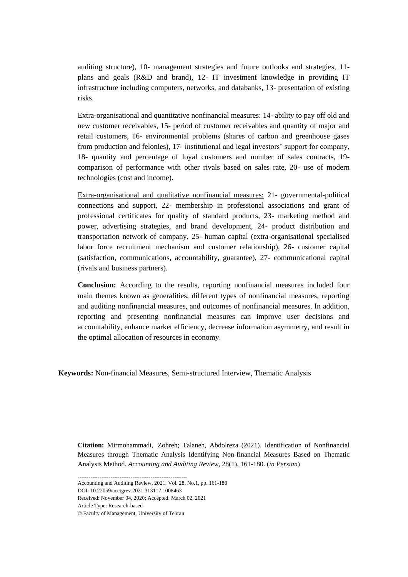auditing structure), 10- management strategies and future outlooks and strategies, 11 plans and goals (R&D and brand), 12- IT investment knowledge in providing IT infrastructure including computers, networks, and databanks, 13- presentation of existing risks.

Extra-organisational and quantitative nonfinancial measures: 14- ability to pay off old and new customer receivables, 15- period of customer receivables and quantity of major and retail customers, 16- environmental problems (shares of carbon and greenhouse gases from production and felonies), 17- institutional and legal investors' support for company, 18- quantity and percentage of loyal customers and number of sales contracts, 19 comparison of performance with other rivals based on sales rate, 20- use of modern technologies (cost and income).

Extra-organisational and qualitative nonfinancial measures: 21- governmental-political connections and support, 22- membership in professional associations and grant of professional certificates for quality of standard products, 23- marketing method and power, advertising strategies, and brand development, 24- product distribution and transportation network of company, 25- human capital (extra-organisational specialised labor force recruitment mechanism and customer relationship), 26- customer capital (satisfaction, communications, accountability, guarantee), 27- communicational capital (rivals and business partners).

**Conclusion:** According to the results, reporting nonfinancial measures included four main themes known as generalities, different types of nonfinancial measures, reporting and auditing nonfinancial measures, and outcomes of nonfinancial measures. In addition, reporting and presenting nonfinancial measures can improve user decisions and accountability, enhance market efficiency, decrease information asymmetry, and result in the optimal allocation of resources in economy.

**Keywords:** Non-financial Measures, Semi-structured Interview, Thematic Analysis

**Citation:** Mirmohammadi, Zohreh; Talaneh, Abdolreza (2021). Identification of Nonfinancial Measures through Thematic Analysis Identifying Non-financial Measures Based on Thematic Analysis Method*. Accounting and Auditing Review*, 28(1), 161-180. (*in Persian*)

------------------------------------------------------------

Accounting and Auditing Review, 2021, Vol. 28, No.1, pp. 161-180

DOI: 10.22059/acctgrev.2021.313117.1008463

Received: November 04, 2020; Accepted: March 02, 2021

Article Type: Research-based

© Faculty of Management, University of Tehran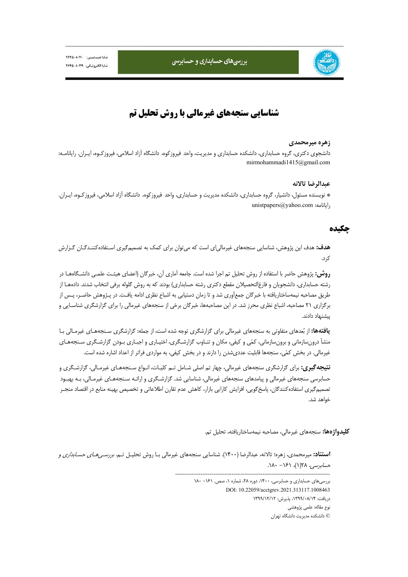



# **شناسايي سنجههاي غيرمالي با روش تحليل تم**

#### **زهره ميرمحمدي**

دانشجوي دكتري، گروه حسابداري، دانشكده حسابداري و مديريت، واحد فيروزكوه، دانشگاه آزاد اسلامي، فيروزكـوه، ايـران. رايانامـه: mirmohammadi1415@gmail.com

#### **عبدالرضا تالانه**

\* نويسنده مسئول، دانشيار، گروه حسابداري، دانشكده مديريت و حسابداري، واحد فيروزكوه، دانشگاه آزاد اسلامي، فيروزكـوه، ايـران. unistpapers@yahoo.com :رايانامه

## **چكيده**

**هدف:** هدف اين پژوهش، شناسايي سنجههاي غيرمالياي است كه ميتوان براي كمك به تصميمگيري اسـتفادهكننـدگـان گـزارش كرد.

**روش:** پژوهش حاضر با استفاده از روش تحليل تم اجرا شده است. جامعه آماري آن، خبرگان (اعضاي هيئـت علمـي دانشـگاههـا در رشته حسابداري، دانشجويان و فارغالتحصيلان مقطع دكتري رشته حسابداري) بودند كه به روش گلوله برفي انتخاب شدند. دادههـا از طريق مصاحبه نيمهساختاريافته با خبرگان جمعآوري شد و تا زمان دستيابي به اشباع نظري ادامه يافـت. در پـژوهش حاضـر، پـس از برگزاري 21 مصاحبه، اشباع نظري محرز شد. در اين مصاحبهها، خبرگان برخي از سنجههاي غيرمالي را براي گزارشگري شناسـايي و پيشنهاد دادند.

**يافتهها:** از بعدهاي متفاوتي به سنجههاي غيرمالي براي گزارشگري توجه شده است، از جمله: گزارشگري سـنجههـاي غيرمـالي بـا منشأ درونسازماني و برونسازماني، كمي و كيفي، مكان و تنـاوب گزارشـگري، اختيـاري و اجبـاري بـودن گزارشـگري سـنجههـاي غيرمالي. در بخش كمي، سنجهها قابليت عدديشدن را دارند و در بخش كيفي، به مواردي فراتر از اعداد اشاره شده است.

**نتيجهگيري:** براي گزارشگري سنجههاي غيرمالي، چهار تم اصلي شـامل تـم كليـات، انـواع سـنجههـاي غيرمـالي، گزارشـگري و حسابرسي سنجههاي غيرمالي و پيامدهاي سنجههاي غيرمالي، شناسايي شد. گزارشـگري و ارائـه سـنجههـاي غيرمـالي، بـه بهبـود تصميمگيري استفادهكنندگان، پاسخگويي، افزايش كارايي بازار، كاهش عدم تقارن اطلاعاتي و تخصيص بهينه منابع در اقتصاد منجـر خواهد شد.

**كليدواژهها:** سنجههاي غيرمالي، مصاحبه نيمهساختاريافته، تحليل تم.

**استناد:** ميرمحمدي، زهره؛ تالانه، عبدالرضا (1400). شناسايي سنجههاي غيرمالي بـا روش تحليـل تـم. بررسـيهـاي حسـابداري <sup>و</sup> حس*ابرسي، ٦*٢٨(١)، ١٤١- ١٨٠.

> بررسي هاي حسابداري و حسابرسي، ١۴٠٠، دوره ٢٨، شماره ١، صص. ١٤١ - ١٨٠ DOI: 10.22059/acctgrev.2021.313117.1008463 دريافت: ،1399/08/14 پذيرش: 1399/12/12 نوع مقاله: علمي پژوهشي © دانشكده مديريت دانشگاه تهران

-------------------------------------------------------------------------------------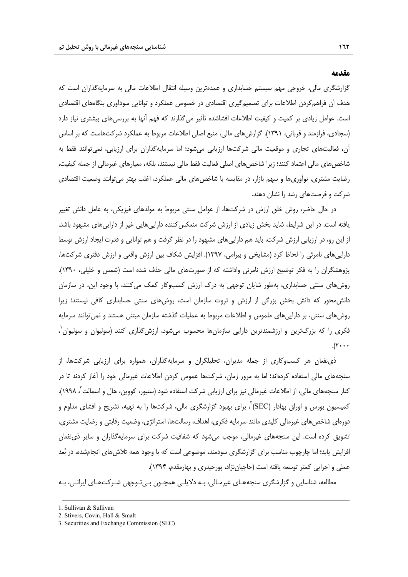#### **مقدمه**

گزارشگري مالي، خروجي مهم سيستم حسابداري و عمدهترين وسيله انتقال اطلاعات مالي به سرمايهگذاران است كه هدف آن فراهمكردن اطلاعات براي تصميمگيري اقتصادي در خصوص عملكرد و توانايي سودآوري بنگاههاي اقتصادي است. عوامل زيادي بر كميت و كيفيت اطلاعات افشاشده تأثير ميگذارند كه فهم آنها به بررسيهاي بيشتري نياز دارد (سجادي، فرازمند و قرباني، 1391). گزارشهاي مالي، منبع اصلي اطلاعات مربوط به عملكرد شركتهاست كه بر اساس آن، فعاليتهاي تجاري و موقعيت مالي شركتها ارزيابي ميشود؛ اما سرمايهگذاران براي ارزيابي، نميتوانند فقط به شاخصهاي مالي اعتماد كنند؛ زيرا شاخصهاي اصلي فعاليت فقط مالي نيستند، بلكه، معيارهاي غيرمالي از جمله كيفيت، رضايت مشتري، نوآوريها و سهم بازار، در مقايسه با شاخصهاي مالي عملكرد، اغلب بهتر ميتوانند وضعيت اقتصادي شركت و فرصتهاي رشد را نشان دهند.

در حال حاضر، روش خلق ارزش در شركتها، از عوامل سنتي مربوط به مولدهاي فيزيكي، به عامل دانش تغيير يافته است. در اين شرايط، شايد بخش زيادي از ارزش شركت منعكسكننده داراييهايي غير از داراييهاي مشهود باشد. از اين رو، در ارزيابي ارزش شركت، بايد هم داراييهاي مشهود را در نظر گرفت و هم توانايي و قدرت ايجاد ارزش توسط داراييهاي نامرئي را لحاظ كرد (مشايخي و بيرامي، 1397). افزايش شكاف بين ارزش واقعي و ارزش دفتري شركتها، پژوهشگران را به فكر توضيح ارزش نامرئي واداشته كه از صورتهاي مالي حذف شده است (شمس و خليلي، 1390). روشهاي سنتي حسابداري، بهطور شايان توجهي به درك ارزش كسبوكار كمك ميكنند، با وجود اين، در سازمان دانشمحور كه دانش بخش بزرگي از ارزش و ثروت سازمان است، روشهاي سنتي حسابداري كافي نيستند؛ زيرا روشهاي سنتي، بر داراييهاي ملموس و اطلاعات مربوط به عمليات گذشته سازمان مبتني هستند و نميتوانند سرمايه 1 فكري را كه بزرگترين و ارزشمندترين دارايي سازمانها محسوب ميشود، ارزشگذاري كنند (سوليوان و سوليوان ،  $\ldots$ 

ذينفعان هر كسبوكاري از جمله مديران، تحليلگران و سرمايهگذاران، همواره براي ارزيابي شركتها، از سنجههاي مالي استفاده كردهاند؛ اما به مرور زمان، شركتها عمومي كردن اطلاعات غيرمالي خود را آغاز كردند تا در كنار سنجههاي مالي، از اطلاعات غيرمالي نيز براي ارزيابي شركت استفاده شود (ستيور، كووين، هال و اسمالت ٰ، ١٩٩٨). کميسيون بورس و اوراق بهادار (SEC)<sup>۳</sup>، براي بهبود گزارشگري مالي، شركتها را به تهيه، تشريح و افشاي مداوم و دورهاي شاخصهاي غيرمالي كليدي مانند سرمايه فكري، اهداف، رسالتها، استراتژي، وضعيت رقابتي و رضايت مشتري، تشويق كرده است. اين سنجههاي غيرمالي، موجب ميشود كه شفافيت شركت براي سرمايهگذاران و ساير ذينفعان افزايش يابد؛ اما چارچوب مناسب براي گزارشگري سودمند، موضوعي است كه با وجود همه تلاشهاي انجامشده، در بعد عملي و اجرايي كمتر توسعه يافته است (حاجياننژاد، پورحيدري و بهارمقدم، 1394).

مطالعه، شناسايي و گزارشگري سنجههـاي غيرمـالي، بـه دلايلـي همچـون بـيتـوجهي شـركتهـاي ايرانـي، بـه

<sup>1.</sup> Sullivan & Sullivan

<sup>2.</sup> Stivers, Covin, Hall & Smalt

<sup>3.</sup> Securities and Exchange Commission (SEC)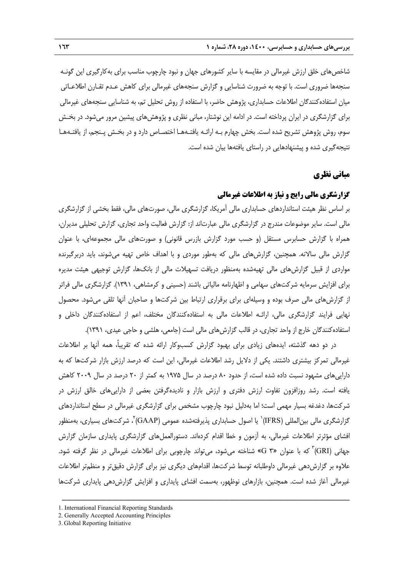شاخصهاي خلق ارزش غيرمالي در مقايسه با ساير كشورهاي جهان و نبود چارچوب مناسب براي بهكارگيري اين گونـه سنجهها ضروري است. با توجه به ضرورت شناسايي و گزارش سنجههاي غيرمالي براي كاهش عـدم تقـارن اطلاعـاتي ميان استفادهكنندگان اطلاعات حسابداري، پژوهش حاضر، با استفاده از روش تحليل تم، به شناسايي سنجههاي غيرمالي براي گزارشگري در ايران پرداخته است. در ادامه اين نوشتار، مباني نظري و پژوهشهاي پيشين مرور ميشود. در بخـش سوم، روش پژوهش تشريح شده است. بخش چهارم بـه ارائـه يافتـههـا اختصـاص دارد و در بخـش پـنجم، از يافتـههـا نتيجهگيري شده و پيشنهادهايي در راستاي يافتهها بيان شده است.

# **مباني نظري**

## **گزارشگري مالي رايج و نياز به اطلاعات غيرمالي**

بر اساس نظر هيئت استانداردهاي حسابداري مالي آمريكا، گزارشگري مالي، صورتهاي مالي، فقط بخشي از گزارشگري مالي است. ساير موضوعات مندرج در گزارشگري مالي عبارتاند از: گزارش فعاليت واحد تجاري، گزارش تحليلي مديران، همراه با گزارش حسابرس مستقل (و حسب مورد گزارش بازرس قانوني) و صورتهاي مالي مجموعهاي، با عنوان گزارش مالي سالانه. همچنين، گزارشهاي مالي كه بهطور موردي و با اهداف خاص تهيه ميشوند، بايد دربرگيرنده مواردي از قبيل گزارشهاي مالي تهيهشده بهمنظور دريافت تسهيلات مالي از بانكها، گزارش توجيهي هيئت مديره براي افزايش سرمايه شركتهاي سهامي و اظهارنامه مالياتي باشند (حسيني و كرمشاهي، 1391). گزارشگري مالي فراتر از گزارشهاي مالي صرف بوده و وسيلهاي براي برقراري ارتباط بين شركتها و صاحبان آنها تلقي ميشود. محصول نهايي فرايند گزارشگري مالي، ارائـه اطلاعات مالي به استفادهكنندگان مختلف، اعم از استفادهكنندگان داخلي و استفادهكنندگان خارج از واحد تجاري، در قالب گزارشهاي مالي است (جامعي، هلشي و حاجي عيدي، 1391).

در دو دهه گذشته، ايدههاي زيادي براي بهبود گزارش كسبوكار ارائه شده كه تقريبا،ً همه آنها بر اطلاعات غيرمالي تمركز بيشتري داشتند. يكي از دلايل رشد اطلاعات غيرمالي، اين است كه درصد ارزش بازار شركتها كه به داراييهاي مشهود نسبت داده شده است، از حدود 80 درصد در سال 1975 به كمتر از 20 درصد در سال 2009 كاهش يافته است. رشد روزافزون تفاوت ارزش دفتري و ارزش بازار و ناديدهگرفتن بعضي از داراييهاي خالق ارزش در شركتها، دغدغه بسيار مهمي است؛ اما بهدليل نبود چارچوب مشخص براي گزارشگري غيرمالي در سطح استانداردهاي گزارشگري مالي بين|لمللي (IFRS)` يا اصول حسابداري پذيرفتهشده عمومي (GAAP)`، شر كتهاي بسياري، بهمنظور افشاي مؤثرتر اطلاعات غيرمالي، به آزمون و خطا اقدام كردهاند. دستورالعملهاي گزارشگري پايداري سازمان گزارش جهاني (GRI)<sup>۲</sup> كه با عنوان «G ۳» شناخته مي شود، مي تواند چارچوبي براي اطلاعات غيرمالي در نظر گرفته شود. علاوه بر گزارش دهي غيرمالي داوطلبانه توسط شركتها، اقدامهاي ديگري نيز براي گزارش دقيقتر و منظمتر اطلاعات غيرمالي آغاز شده است. همچنين، بازارهاي نوظهور، بهسمت افشاي پايداري و افزايش گزارشدهي پايداري شركتها

<sup>1.</sup> International Financial Reporting Standards

<sup>2.</sup> Generally Accepted Accounting Principles

<sup>3.</sup> Global Reporting Initiative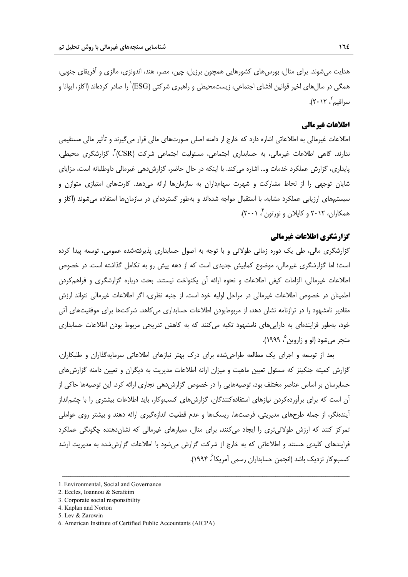هدايت ميشوند. براي مثال، بورسهاي كشورهايي همچون برزيل، چين، مصر، هند، اندونزي، مالزي و آفريقاي جنوبي، همگي در سالαای اخير قوانين افشای اجتماعی، زيستمحيطی و راهبری شركتی (ESG)`را صادر كردهاند (اكلز، ايوانا و سرافيم`، ٢٠١٢).

# **اطلاعات غيرمالي**

اطلاعات غيرمالي به اطلاعاتي اشاره دارد كه خارج از دامنه اصلي صورتهاي مالي قرار ميگيرند و تأثير مالي مستقيمي ندارند. گاهي اطلاعات غيرمالي، به حسابداري اجتماعي، مسئوليت اجتماعي شركت (CSR) ، گزارشگري محيطي، پايداري، گزارش عملكرد خدمات و... اشاره ميكند. با اينكه در حال حاضر، گزارشدهي غيرمالي داوطلبانه است، مزاياي شايان توجهي را از لحاظ مشاركت و شهرت سهامداران به سازمانها ارائه ميدهد. كارتهاي امتيازي متوازن و سيستمهاي ارزيابي عملكرد مشابه، با استقبال مواجه شدهاند و بهطور گستردهاي در سازمانها استفاده ميشوند (اكلز و ، 2001). <sup>4</sup> همكاران، 2012 و كاپلان و نورتون

## **گزارشگري اطلاعات غيرمالي**

گزارشگري مالي، طي يك دوره زماني طولاني و با توجه به اصول حسابداري پذيرفتهشده عمومي، توسعه پيدا كرده است؛ اما گزارشگري غيرمالي، موضوع كمابيش جديدي است كه از دهه پيش رو به تكامل گذاشته است. در خصوص اطلاعات غيرمالي، الزامات كيفي اطلاعات و نحوه ارائه آن يكنواخت نيستند. بحث درباره گزارشگري و فراهمكردن اطمينان در خصوص اطلاعات غيرمالي در مراحل اوليه خود است. از جنبه نظري، اگر اطلاعات غيرمالي نتواند ارزش مقادير نامشهود را در ترازنامه نشان دهد، از مربوطبودن اطلاعات حسابداري ميكاهد. شركتها براي موفقيتهاي آتي خود، بهطور فزايندهاي به داراييهاي نامشهود تكيه ميكنند كه به كاهش تدريجي مربوط بودن اطلاعات حسابداري منجر مي شود (لو و زاروين م ١٩٩٩).

بعد از توسعه و اجراي يك مطالعه طراحيشده براي درك بهتر نيازهاي اطلاعاتي سرمايهگذاران و طلبكاران، گزارش كميته جنكينز كه مسئول تعيين ماهيت و ميزان ارائه اطلاعات مديريت به ديگران و تعيين دامنه گزارشهاي حسابرسان بر اساس عناصر مختلف بود، توصيههايي را در خصوص گزارشدهي تجاري ارائه كرد. اين توصيهها حاكي از آن است كه براي برآوردهكردن نيازهاي استفادهكنندگان، گزارشهاي كسبوكار، بايد اطلاعات بيشتري را با چشمانداز آيندهنگر، از جمله طرحهاي مديريتي، فرصتها، ريسكها و عدم قطعيت اندازهگيري ارائه دهند و بيشتر روي عواملي تمركز كنند كه ارزش طولانيتري را ايجاد ميكنند، براي مثال، معيارهاي غيرمالي كه نشاندهنده چگونگي عملكرد فرايندهاي كليدي هستند و اطلاعاتي كه به خارج از شركت گزارش ميشود با اطلاعات گزارششده به مديريت ارشد كسبوكار نزديك باشد (انجمن حسابداران رسمي آمريكا<sup>ع</sup>، ۱۹۹۴).

<sup>1.</sup> Environmental, Social and Governance

<sup>2.</sup> Eccles, Ioannou & Serafeim

<sup>3.</sup> Corporate social responsibility

<sup>4.</sup> Kaplan and Norton

<sup>5.</sup> Lev & Zarowin

<sup>6.</sup> American Institute of Certified Public Accountants (AICPA)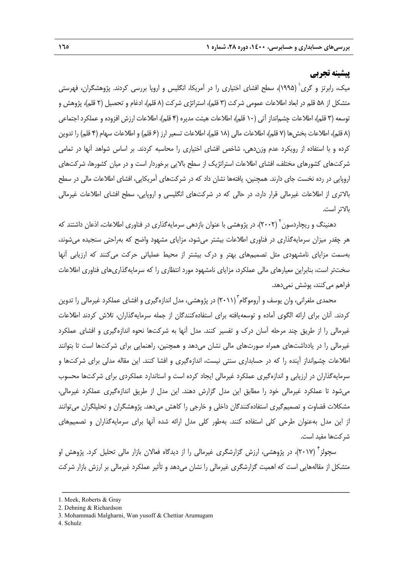# **پيشينه تجربي**

ميک، رابرتز و گري<sup>٬</sup> (۱۹۹۵)، سطح افشاي اختياري را در آمريكا، انگليس و اروپا بررسي كردند. پژوهشگران، فهرستي متشكل از ۵۸ قلم در ابعاد اطلاعات عمومي شركت (۳ قلم)، استراتژي شركت (۸ قلم)، ادغام و تحصيل (۲ قلم)، پژوهش و توسعه (3 قلم)، اطلاعات چشمانداز آتي (10 قلم)، اطلاعات هيئت مديره (4 قلم)، اطلاعات ارزش افزوده و عملكرد اجتماعي (٨ قلم)، اطلاعات بخش ها (٧ قلم)، اطلاعات مالي (١٨ قلم)، اطلاعات تسعير ارز (۶ قلم) و اطلاعات سهام (۴ قلم) را تدوين كرده و با استفاده از رويكرد عدم وزندهي، شاخص افشاي اختياري را محاسبه كردند. بر اساس شواهد آنها در تمامي شركتهاي كشورهاي مختلف، افشاي اطلاعات استراتژيك از سطح بالايي برخوردار است و در ميان كشورها، شركتهاي اروپايي در رده نخست جاي دارند. همچنين، يافتهها نشان داد كه در شركتهاي آمريكايي، افشاي اطلاعات مالي در سطح بالاتري از اطلاعات غيرمالي قرار دارد، در حالي كه در شركتهاي انگليسي و اروپايي، سطح افشاي اطلاعات غيرمالي بالاتر است.

دهنينگ و ريچاردسون <sup>۲</sup> (۲۰۰۲)، در پژوهشی با عنوان بازدهی سرمايهگذاری در فناوری اطلاعات، اذعان داشتند كه هر چقدر ميزان سرمايهگذاري در فناوري اطلاعات بيشتر ميشود، مزاياي مشهود واضح كه بهراحتي سنجيده ميشوند، بهسمت مزاياي نامشهودي مثل تصميمهاي بهتر و درك بيشتر از محيط عملياتي حركت ميكنند كه ارزيابي آنها سختتر است، بنابراين معيارهاي مالي عملكرد، مزاياي نامشهود مورد انتظاري را كه سرمايهگذاريهاي فناوري اطلاعات فراهم مي كنند، پوشش نمي دهد.

محمدی ملغرانی، وان یوسف و آروموگام ۲۰۱۱) در پژوهشی، مدل اندازهگیری و افشای عملکرد غیرمالی را تدوین كردند. آنان براي ارائه الگوي آماده و توسعهيافته براي استفادهكنندگان از جمله سرمايهگذاران، تلاش كردند اطلاعات غيرمالي را از طريق چند مرحله آسان درك و تفسير كنند. مدل آنها به شركتها نحوه اندازهگيري و افشاي عملكرد غيرمالي را در يادداشتهاي همراه صورتهاي مالي نشان ميدهد و همچنين، راهنمايي براي شركتها است تا بتوانند اطلاعات چشمانداز آينده را كه در حسابداري سنتي نيست، اندازهگيري و افشا كنند. اين مقاله مدلي براي شركتها و سرمايهگذاران در ارزيابي و اندازهگيري عملكرد غيرمالي ايجاد كرده است و استاندارد عملكردي براي شركتها محسوب ميشود تا عملكرد غيرمالي خود را مطابق اين مدل گزارش دهند. اين مدل از طريق اندازهگيري عملكرد غيرمالي، مشكلات قضاوت و تصميمگيري استفادهكنندگان داخلي و خارجي را كاهش ميدهد. پژوهشگران و تحليلگران ميتوانند از اين مدل بهعنوان طرحي كلي استفاده كنند. بهطور كلي مدل ارائه شده آنها براي سرمايهگذاران و تصميمهاي شركتها مفيد است.

سچولز<sup>۲</sup> (۲۰۱۷)، در پژوهشي، ارزش گزارشگري غيرمالي را از ديدگاه فعالان بازار مالي تحليل كرد. پژوهش او متشكل از مقالههايي است كه اهميت گزارشگري غيرمالي را نشان ميدهد و تأثير عملكرد غيرمالي بر ارزش بازار شركت

ــــــــــــــــــــــــــــــــــــــــــــــــــــــــــــــــــــــــــــــــــــــــــــــــــــــــــــــــــــــــــــــــــــ

2. Dehning & Richardson

4. Schulz

<sup>1.</sup> Meek, Roberts & Gray

<sup>3.</sup> Mohammadi Malgharni, Wan yusoff & Chettiar Arumugam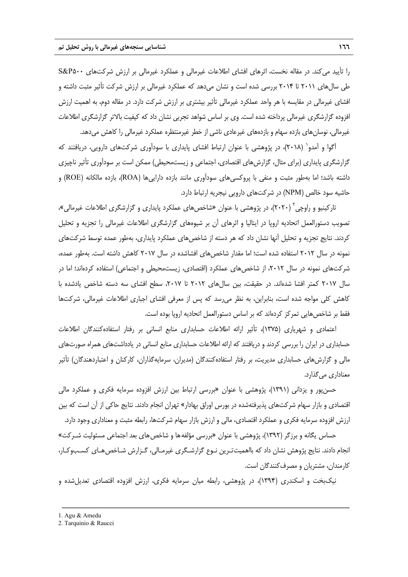را تأييد ميكند. در مقاله نخست، اثرهاي افشاي اطلاعات غيرمالي و عملكرد غيرمالي بر ارزش شركتهاي 500P&S طي سالهاي 2011 تا 2014 بررسي شده است و نشان ميدهد كه عملكرد غيرمالي بر ارزش شركت تأثير مثبت داشته و افشاي غيرمالي در مقايسه با هر واحد عملكرد غيرمالي تأثير بيشتري بر ارزش شركت دارد. در مقاله دوم، به اهميت ارزش افزوده گزارشگري غيرمالي پرداخته شده است. وي بر اساس شواهد تجربي نشان داد كه كيفيت بالاتر گزارشگري اطلاعات غيرمالي، نوسانهاي بازده سهام و بازدههاي غيرعادي ناشي از خطر غيرمنتظره عملكرد غيرمالي را كاهش ميدهد.

آگوا و آمدو` (٢٠١٨)، در پژوهشي با عنوان ارتباط افشاي پايداري با سودآوري شركتهاي دارويي، دريافتند كه گزارشگري پايداري (براي مثال، گزارشهاي اقتصادي، اجتماعي و زيستمحيطي) ممكن است بر سودآوري تأثير ناچيزي داشته باشد؛ اما بهطور مثبت و منفي با پروكسيهاي سودآوري مانند بازده داراييها (ROA(، بازده مالكانه (ROE (و حاشيه سود خالص (NPM (در شركتهاي دارويي نيجريه ارتباط دارد.

تاركينيو و راوچي ۲۰۲۰)، در پژوهشي با عنوان «شاخصهاي عملكرد پايداري و گزارشگري اطلاعات غيرمالي»، تصويب دستورالعمل اتحاديه اروپا در ايتاليا و اثرهاي آن بر شيوههاي گزارشگري اطلاعات غيرمالي را تجزيه و تحليل كردند. نتايج تجزيه و تحليل آنها نشان داد كه هر دسته از شاخصهاي عملكرد پايداري، بهطور عمده توسط شركتهاي نمونه در سال 2012 استفاده شده است؛ اما مقدار شاخصهاي افشاشده در سال 2017 كاهش داشته است. بهطور عمده، شركتهاي نمونه در سال ٢٠١٢، از شاخصهاي عملكرد (اقتصادي، زيستمحيطي و اجتماعي) استفاده كردهاند؛ اما در سال ٢٠١٧ كمتر افشا شدهاند. در حقيقت، بين سالهاي ٢٠١٢ تا ٢٠١٧، سطح افشاي سه دسته شاخص يادشده با كاهش كلي مواجه شده است، بنابراين، به نظر ميرسد كه پس از معرفي افشاي اجباري اطلاعات غيرمالي، شركتها فقط بر شاخصهايي تمركز كردهاند كه بر اساس دستورالعمل اتحاديه اروپا بوده است.

اعتمادي و شهرياري (1375)، تأثير ارائه اطلاعات حسابداري منابع انساني بر رفتار استفادهكنندگان اطلاعات حسابداري در ايران را بررسي كردند و دريافتند كه ارائه اطلاعات حسابداري منابع انساني در يادداشتهاي همراه صورتهاي مالي و گزارشهاي حسابداري مديريت، بر رفتار استفادهكنندگان (مديران، سرمايهگذاران، كاركنان و اعتباردهندگان) تأثير معناداري ميگذارد.

حسنپور و يزداني (1391)، پژوهشي با عنوان «بررسي ارتباط بين ارزش افزوده سرمايه فكري و عملكرد مالي اقتصادي و بازار سهام شركتهاي پذيرفتهشده در بورس اوراق بهادار» تهران انجام دادند. نتايج حاكي از آن است كه بين ارزش افزوده سرمايه فكري و عملكرد اقتصادي، مالي و ارزش بازار سهام شركتها، رابطه مثبت و معناداري وجود دارد.

حساس يگانه و برزگر (١٣٩٢)، پژوهشي با عنوان «بررسي مؤلفهها و شاخص هاي بعد اجتماعي مسئوليت شـركت» انجام دادند. نتايج پژوهش نشان داد كه بااهميتتـرين نـوع گزارشـگري غيرمـالي، گـزارش شـاخصهـاي كسـبوكـار، كارمندان، مشتريان و مصرفكنندگان است.

نيكبخت و اسكندري (1394)، در پژوهشي، رابطه ميان سرمايه فكري، ارزش افزوده اقتصادي تعديلشده و

ــــــــــــــــــــــــــــــــــــــــــــــــــــــــــــــــــــــــــــــــــــــــــــــــــــــــــــــــــــــــــــــــــــ

2. Tarquinio & Raucci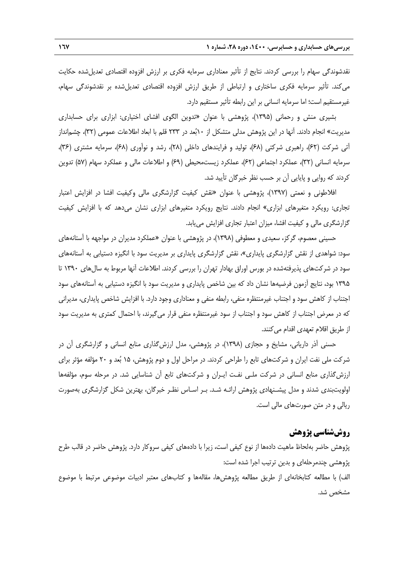نقدشوندگي سهام را بررسي كردند. نتايج از تأثير معناداري سرمايه فكري بر ارزش افزوده اقتصادي تعديلشده حكايت ميكند. تأثير سرمايه فكري ساختاري و ارتباطي از طريق ارزش افزوده اقتصادي تعديلشده بر نقدشوندگي سهام، غيرمستقيم است؛ اما سرمايه انساني بر اين رابطه تأثير مستقيم دارد.

بشيري منش و رحماني (1395)، پژوهشي با عنوان «تدوين الگوي افشاي اختياري: ابزاري براي حسابداري مديريت» انجام دادند. آنها در اين پژوهش مدلي متشكل از 10بعد در 233 قلم با ابعاد اطلاعات عمومي (32)، چشمانداز آتي شركت (62)، راهبري شركتي (68)، توليد و فرايندهاي داخلي (28)، رشد و نوآوري (68)، سرمايه مشتري (36)، سرمايه انساني (32)، عملكرد اجتماعي (62)، عملكرد زيستمحيطي (69) و اطلاعات مالي و عملكرد سهام (57) تدوين كردند كه روايي و پايايي آن بر حسب نظر خبرگان تأييد شد.

افلاطوني و نعمتي (1397)، پژوهشي با عنوان «نقش كيفيت گزارشگري مالي وكيفيت افشا در افزايش اعتبار تجاري: رويكرد متغيرهاي ابزاري» انجام دادند. نتايج رويكرد متغيرهاي ابزاري نشان ميدهد كه با افزايش كيفيت گزارشگري مالي و كيفيت افشا، ميزان اعتبار تجاري افزايش مييابد.

حسيني معصوم، گركز، سعيدي و معطوفي (1398)، در پژوهشي با عنوان «عملكرد مديران در مواجهه با آستانههاي سود: شواهدي از نقش گزارشگري پايداري»، نقش گزارشگري پايداري بر مديريت سود با انگيزه دستيابي به آستانههاي سود در شركتهاي پذيرفتهشده در بورس اوراق بهادار تهران را بررسي كردند. اطلاعات آنها مربوط به سالهاي 1390 تا 1395 بود، نتايج آزمون فرضيهها نشان داد كه بين شاخص پايداري و مديريت سود با انگيزه دستيابي به آستانههاي سود اجتناب از كاهش سود و اجتناب غيرمنتظره منفي، رابطه منفي و معناداري وجود دارد. با افزايش شاخص پايداري، مديراني كه در معرض اجتناب از كاهش سود و اجتناب از سود غيرمنتظره منفي قرار ميگيرند، با احتمال كمتري به مديريت سود از طريق اقلام تعهدي اقدام مي كنند.

حسني آذر دارياني، مشايخ و حجازي (1398)، در پژوهشي، مدل ارزشگذاري منابع انساني و گزارشگري آن در شركت ملي نفت ايران و شركتهاي تابع را طراحي كردند. در مراحل اول و دوم پژوهش، 15 بعد و 20 مؤلفه مؤثر براي ارزشگذاري منابع انساني در شركت ملـي نفـت ايـران و شركتهاي تابع آن شناسايي شد. در مرحله سوم، مؤلفهها اولويتبندي شدند و مدل پيشـنهادي پژوهش ارائـه شـد. بـر اسـاس نظـر خبرگان، بهترين شكل گزارشگري بهصورت ريالي و در متن صورتهاي مالي است.

## **روششناسي پژوهش**

پژوهش حاضر بهلحاظ ماهيت دادهها از نوع كيفي است، زيرا با دادههاي كيفي سروكار دارد. پژوهش حاضر در قالب طرح پژوهشي چندمرحلهاي و بدين ترتيب اجرا شده است:

الف) با مطالعه كتابخانهاي از طريق مطالعه پژوهشها، مقالهها و كتابهاي معتبر ادبيات موضوعي مرتبط با موضوع مشخص شد.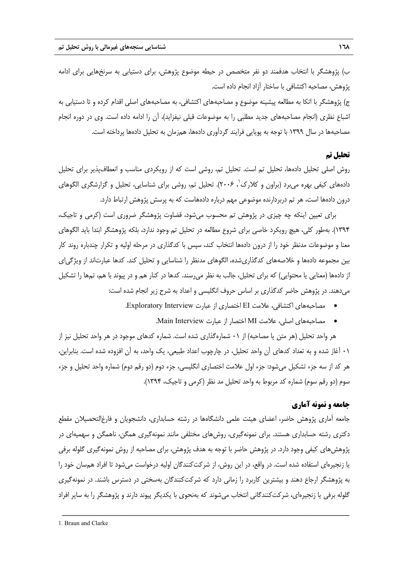ب) پژوهشگر با انتخاب هدفمند دو نفر متخصص در حيطه موضوع پژوهش، براي دستيابي به سرنخهايي براي ادامه پژوهش، مصاحبه اكتشافي با ساختار آزاد انجام داده است.

ج) پژوهشگر با اتكا به مطالعه پيشينه موضوع و مصاحبههاي اكتشافي، به مصاحبههاي اصلي اقدام كرده و تا دستيابي به اشباع نظري (انجام مصاحبههاي جديد مطلبي را به موضوعات قبلي نيفزايد)، آن را ادامه داده است. وي در دوره انجام مصاحبهها در سال 1399 با توجه به پويايي فرايند گردآوري دادهها، همزمان به تحليل دادهها پرداخته است.

#### **تحليل تم**

روش اصلي تحليل دادهها، تحليل تم است. تحليل تم، روشي است كه از رويكردي مناسب و انعطافپذير براي تحليل دادههاي كيفي بهره مي برد (براون و كلارک<sup>٬</sup>، ۲۰۰۶). تحليل تم، روشي براي شناسايي، تحليل و گزارشگري الگوهاي درون دادهها است، هر تم دربردارنده موضوعي مهم درباره دادههاست كه به پرسش پژوهش ارتباط دارد.

براي تعيين اينكه چه چيزي در پژوهش تم محسوب ميشود، قضاوت پژوهشگر ضروري است (كرمي و تاجيك، 1394). بهطور كلي، هيچ رويكرد خاصي براي شروع مطالعه در تحليل تم وجود ندارد، بلكه پژوهشگر ابتدا بايد الگوهاي معنا و موضوعات مدنظر خود را از درون دادهها انتخاب كند، سپس با كدگذاري در مرحله اوليه و تكرار چندباره روند كار بين مجموعه دادهها و خلاصههاي كدگذاريشده، الگوهاي مدنظر را شناسايي و تحليل كند. كدها عبارتاند از ويژگياي از دادهها (معنايي يا محتوايي) كه براي تحليل، جالب به نظر ميرسند. كدها در كنار هم و در پيوند با هم، تمها را تشكيل ميدهند. در پژوهش حاضر كدگذاري بر اساس حروف انگليسي و اعداد به شرح زير انجام شده است:

- مصاحبههاي اكتشافي، علامت EI اختصاري از عبارت Interview Exploratory.
	- مصاحبههاي اصلي، علامت MI اختصار از عبارت Interview Main.

هر واحد تحليل (هر متن يا مصاحبه) از 01 شمارهگذاري شده است. شماره كدهاي موجود در هر واحد تحليل نيز از 01 آغاز شده و به تعداد كدهاي آن واحد تحليل، در چارچوب اعداد طبيعي، يك واحد، به آن افزوده شده است. بنابراين، هر كد از سه جزء تشكيل ميشود: جزء اول علامت اختصاري انگليسي، جزء دوم (دو رقم دوم) شماره واحد تحليل و جزء سوم (دو رقم سوم) شماره كد مربوط به واحد تحليل مد نظر (كرمي و تاجيك، 1394).

#### **جامعه و نمونه آماري**

جامعه آماري پژوهش حاضر، اعضاي هيئت علمي دانشگاهها در رشته حسابداري، دانشجويان و فارغالتحصيلان مقطع دكتري رشته حسابداري هستند. براي نمونهگيري، روشهاي مختلفي مانند نمونهگيري همگن، ناهمگن و سهميهاي در پژوهشهاي كيفي وجود دارد. در پژوهش حاضر با توجه به هدف پژوهش، براي مصاحبه از روش نمونهگيري گلوله برفي يا زنجيرهاي استفاده شده است. در واقع، در اين روش، از شركتكنندگان اوليه درخواست ميشود تا افراد همسان خود را به پژوهشگر ارجاع دهند و بيشترين كاربرد را زماني دارد كه شركتكنندگان بهسختي در دسترس باشند. در نمونهگيري گلوله برفي يا زنجيرهاي، شركتكنندگاني انتخاب ميشوند كه بهنحوي با يكديگر پيوند دارند و پژوهشگر را به ساير افراد

<sup>1.</sup> Braun and Clarke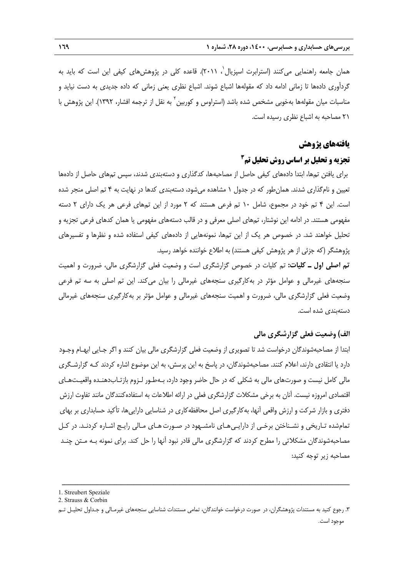همان جامعه راهنمايي ميكنند (استرابرت اسپزيال`، ۲۰۱۱). قاعده كلي در پژوهشهاي كيفي اين است كه بايد به گردآوري دادهها تا زماني ادامه داد كه مقولهها اشباع شوند. اشباع نظري يعني زماني كه داده جديدي به دست نيايد و مناسبات ميان مقولهها بهخوبي مشخص شده باشد (استراوس و كوربين<sup>٢</sup> به نقل از ترجمه افشار، ١٣٩٢). اين پژوهش با 21 مصاحبه به اشباع نظري رسيده است.

#### **يافتههاي پژوهش**

## **3 تجزيه و تحليل بر اساس روش تحليل تم**

براي يافتن تمها، ابتدا دادههاي كيفي حاصل از مصاحبهها، كدگذاري و دستهبندي شدند، سپس تمهاي حاصل از دادهها تعيين و نامگذاري شدند. همانطور كه در جدول 1 مشاهده ميشود، دستهبندي كدها در نهايت به 4 تم اصلي منجر شده است. اين 4 تم خود در مجموع، شامل 10 تم فرعي هستند كه 2 مورد از اين تمهاي فرعي هر يك داراي 2 دسته مفهومي هستند. در ادامه اين نوشتار، تمهاي اصلي معرفي و در قالب دستههاي مفهومي يا همان كدهاي فرعي تجزيه و تحليل خواهند شد. در خصوص هر يك از اين تمها، نمونههايي از دادههاي كيفي استفاده شده و نظرها و تفسيرهاي پژوهشگر (كه جزئي از هر پژوهش كيفي هستند) به اطلاع خواننده خواهد رسيد.

**تم اصلي اول ـ كليات:** تم كليات در خصوص گزارشگري است و وضعيت فعلي گزارشگري مالي، ضرورت و اهميت سنجههاي غيرمالي و عوامل مؤثر در بهكارگيري سنجههاي غيرمالي را بيان ميكند. اين تم اصلي به سه تم فرعي وضعيت فعلي گزارشگري مالي، ضرورت و اهميت سنجههاي غيرمالي و عوامل مؤثر بر بهكارگيري سنجههاي غيرمالي دستهبندي شده است.

## **الف) وضعيت فعلي گزارشگري مالي**

ابتدا از مصاحبهشوندگان درخواست شد تا تصويري از وضعيت فعلي گزارشگري مالي بيان كنند و اگر جـايي ابهـام وجـود دارد يا انتقادي دارند، اعلام كنند. مصاحبهشوندگان، در پاسخ به اين پرسش، به اين موضوع اشاره كردند كـه گزارشـگري مالي كامل نيست و صورتهاي مالي به شكلي كه در حال حاضر وجود دارد، بـهطـور لـزوم بازتـابدهنـده واقعيـتهـاي اقتصادي امروزه نيست. آنان به برخي مشكلات گزارشگري فعلي در ارائه اطلاعات به استفادهكنندگان مانند تفاوت ارزش دفتري و بازار شركت و ارزش واقعي آنها، بهكارگيري اصل محافظه كاري در شناسايي دارايي ها، تأكيد حسابداري بر بهاي تمامشده تـاريخي و نشـناختن برخـي از دارايـيهـاي نامشـهود در صـورتهـاي مـالي رايـج اشـاره كردنـد. در كـل مصاحبهشوندگان مشكلاتي را مطرح كردند كه گزارشگري مالي قادر نبود آنها را حل كند. براي نمونه بـه مـتن چنـد مصاحبه زير توجه كنيد:

2. Strauss & Corbin

<sup>1.</sup> Streubert Speziale

<sup>.3</sup> رجوع كنيد به مستندات پژوهشگران، در صورت درخواست خوانندگان، تمامي مستندات شناسايي سنجههاي غيرمـالي و جـداول تحليـل تـم موجود است.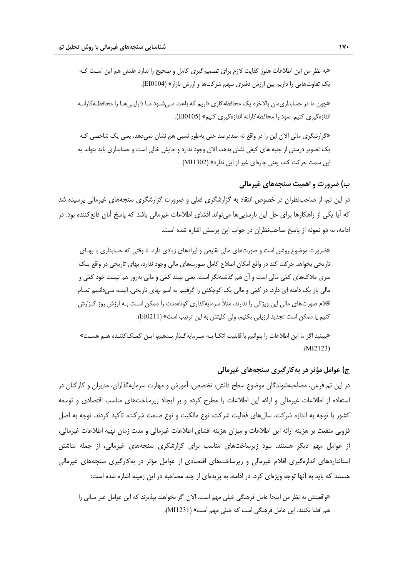«به نظر من اين اطلاعات هنوز كفايت لازم براي تصميمگيري كامل و صحيح را ندارد علتش هم اين اسـت كـه يك تفاوتهايي را داريم بين ارزش دفتري سهم شركتها و ارزش بازار» (0104EI(. «چون ما در حسابداريمان بالاخره يك محافظهكاري داريم كه باعث مـيشـود مـا دارايـيهـا را محافظـهكارانـه اندازهگيري كنيم، سود را محافظهكارانه اندازهگيري كنيم» (0105EI(.

«گزارشگري مالي الان اين را در واقع نه صددرصد حتي بهطور نسبي هم نشان نميدهد، يعني يك شاخصي كـه يك تصوير درستي از جنبههاي كيفي نشان بدهد، الان وجود ندارد و جايش خالي است و حسابداري بايد بتواند به اين سمت حركت كند، يعني چارهاي غير از اين ندارد» (1302MI(.

**ب) ضرورت و اهميت سنجههاي غيرمالي** 

در اين تم، از صاحبنظران در خصوص انتقاد به گزارشگري فعلي و ضرورت گزارشگري سنجههاي غيرمالي پرسيده شد كه آيا يكي از راهكارها براي حل اين نارسايي ها مي تواند افشاي اطلاعات غيرمالي باشد كه پاسخ آنان قانع كننده بود. در ادامه، به دو نمونه از پاسخ صاحبنظران در جواب اين پرسش اشاره شده است.

«ضرورت موضوع روشن است و صورتهاي مالي نقايص و ايرادهاي زيادي دارد. تا وقتي كه حسابداري با بهـاي تاريخي بخواهد حركت كند در واقع امكان اصلاح كامل صورتهاي مالي وجود ندارد، بهاي تاريخي در واقع يـك سري ملاكهاي كمي مالي است و آن هم گذشتهنگر است، يعني ببيند كمي و مالي بهروز هم نيست خود كمي و مالي باز يك دامنه اي دارد. در كمي و مالي يك كوچكش را گرفتيم به اسم بهاي تاريخي. البتـه مـيدانـيم تمـام اقلام صورتهاي مالي اين ويژگي را ندارند، مثلاً سرمايهگذاري كوتاهمدت را ممكن اسـت بـه ارزش روز گـزارش كنيم يا ممكن است تجديد ارزيابي بكنيم، ولي كليتش به اين ترتيب است» (0211EI(.

«ببينيد اگر ما اين اطلاعات را بتوانيم با قابليت اتكـا بـه سـرمايهگـذار بـدهيم، ايـن كمـككننـده هـم هسـت» .(MI2123)

## **ج) عوامل مؤثر در بهكارگيري سنجههاي غيرمالي**

در اين تم فرعي، مصاحبهشوندگان موضوع سطح دانش، تخصص، آموزش و مهارت سرمايهگذاران، مديران و كاركنان در استفاده از اطلاعات غيرمالي و ارائه اين اطلاعات را مطرح كرده و بر ايجاد زيرساختهاي مناسب اقتصادي و توسعه كشور با توجه به اندازه شركت، سالهاي فعاليت شركت، نوع مالكيت و نوع صنعت شركت، تأكيد كردند. توجه به اصل فزوني منفعت بر هزينه ارائه اين اطلاعات و ميزان هزينه افشاي اطلاعات غيرمالي و مدت زمان تهيه اطلاعات غيرمالي، از عوامل مهم ديگر هستند. نبود زيرساختهاي مناسب براي گزارشگري سنجههاي غيرمالي، از جمله نداشتن استانداردهاي اندازهگيري اقلام غيرمالي و زيرساختهاي اقتصادي از عوامل مؤثر در بهكارگيري سنجههاي غيرمالي هستند كه بايد به آنها توجه ويژهاي كرد. در ادامه، به بريدهاي از چند مصاحبه در اين زمينه اشاره شده است:

«واقعيتش به نظر من اينجا عامل فرهنگي خيلي مهم است. الان اگر بخواهند بپذيرند كه اين عوامل غير مـالي را هم افشا بكنند، اين عامل فرهنگي است كه خيلي مهم است» (1231MI(.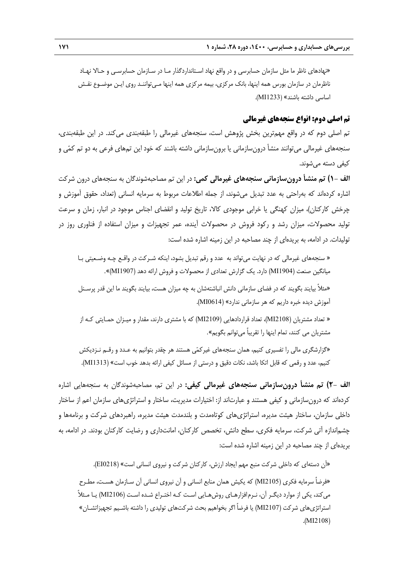«نهادهاي ناظر ما مثل سازمان حسابرسي و در واقع نهاد اسـتانداردگذار مـا در سـازمان حسابرسـي و حـالا نهـاد ناظرمان در سازمان بورس همه اينها، بانك مركزي، بيمه مركزي همه اينها مـيتواننـد روي ايـن موضـوع نقـش اساسي داشته باشند» (1233MI(.

## **تم اصلي دوم: انواع سنجههاي غيرمالي**

تم اصلي دوم كه در واقع مهمترين بخش پژوهش است، سنجههاي غيرمالي را طبقهبندي ميكند. در اين طبقهبندي، سنجههاي غيرمالي ميتوانند منشأ درونسازماني يا برونسازماني داشته باشند كه خود اين تمهاي فرعي به دو تم كمي و كيفي دسته ميشوند.

**الف 1-) تم منشأ درونسازماني سنجههاي غيرمالي كمي:** در اين تم مصاحبهشوندگان به سنجههاي درون شركت اشاره كردهاند كه بهراحتي به عدد تبديل ميشوند، از جمله اطلاعات مربوط به سرمايه انساني (تعداد، حقوق آموزش و چرخش كاركنان)، ميزان كهنگي يا خرابي موجودي كالا، تاريخ توليد و انقضاي اجناس موجود در انبار، زمان و سرعت توليد محصولات، ميزان رشد و ركود فروش در محصولات آينده، عمر تجهيزات و ميزان استفاده از فناوري روز در توليدات. در ادامه، به بريدهاي از چند مصاحبه در اين زمينه اشاره شده است:

« سنجههاي غيرمالي كه در نهايت ميتواند به عدد و رقم تبديل بشود، اينكه شـركت در واقـع چـه وضـعيتي بـا ميانگين صنعت (1904MI) دارد. يک گزارش تعدادي از محصولات و فروش ارائه دهد (1907MI)».

«مثلاً بيايند بگويند كه در فضاي سازماني دانش انباشتهشان به چه ميزان هست، بيايند بگويند ما اين قدر پرسـنل آموزش ديده خبره داريم كه هر سازماني ندارد» (0614MI(.

« تعداد مشتريان (2108MI(، تعداد قراردادهايي (2109MI (كه با مشتري دارند، مقدار و ميـزان حمـايتي كـه از مشتريان مي كنند، تمام اينها را تقريباً ميتوانم بگويم».

«گزارشگري مالي را تفسيري كنيم، همان سنجههاي غيركمي هستند هر چقدر بتوانيم به عـدد و رقـم نـزديكش كنيم، عدد و رقمي كه قابل اتكا باشد، نكات دقيق و درستي از مسائل كيفي ارائه بدهد خوب است» (1313MI(.

**الف 2-) تم منشأ درونسازماني سنجههاي غيرمالي كيفي:** در اين تم، مصاحبهشوندگان به سنجههايي اشاره كردهاند كه درونسازماني و كيفي هستند و عبارتاند از: اختيارات مديريت، ساختار و استراتژيهاي سازمان اعم از ساختار داخلي سازمان، ساختار هيئت مديره، استراتژيهاي كوتاهمدت و بلندمدت هيئت مديره، راهبردهاي شركت و برنامهها و چشماندازه آتي شركت، سرمايه فكري، سطح دانش، تخصص كاركنان، امانتداري و رضايت كاركنان بودند. در ادامه، به بريدهاي از چند مصاحبه در اين زمينه اشاره شده است:

«آن دستهاي كه داخلي شركت منبع مهم ايجاد ارزش، كاركنان شركت و نيروي انساني است» (0218EI(. «فرضاً سرمايه فكري (2105MI (كه يكيش همان منابع انساني و آن نيروي انساني آن سـازمان هسـت، مطـرح ميكند، يكي از موارد ديگـر آن، نـرمافزارهـاي روشهـايي اسـت كـه اختـراع شـده اسـت (2106MI (يـا مـثلاً استراتژيهاي شركت (2107MI (يا فرضاً اگر بخواهيم بحث شركتهاي توليدي را داشته باشـيم تجهيزاتشـان» .(MI2108)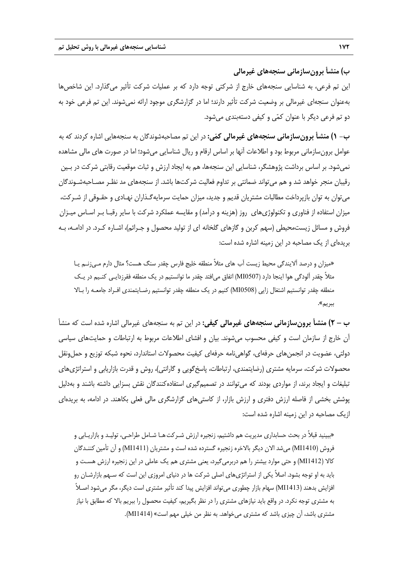**ب) منشأ برونسازماني سنجههاي غيرمالي**  اين تم فرعي، به شناسايي سنجههاي خارج از شركتي توجه دارد كه بر عمليات شركت تأثير ميگذارد. اين شاخصها بهعنوان سنجهاي غيرمالي بر وضعيت شركت تأثير دارند؛ اما در گزارشگري موجود ارائه نميشوند. اين تم فرعي خود به دو تم فرعي ديگر با عنوان كمي و كيفي دستهبندي ميشود.

**ب- 1) منشأ برونسازماني سنجههاي غيرمالي كمي:** در اين تم مصاحبهشوندگان به سنجههايي اشاره كردند كه به عوامل برونسازماني مربوط بود و اطلاعات آنها بر اساس ارقام و ريال شناسايي ميشود؛ اما در صورت هاي مالي مشاهده نميشود. بر اساس برداشت پژوهشگر، شناسايي اين سنجهها، هم به ايجاد ارزش و ثبات موقعيت رقابتي شركت در بـين رقيبان منجر خواهد شد و هم ميتواند ضمانتي بر تداوم فعاليت شركتها باشد. از سنجههاي مد نظـر مصـاحبهشـوندگان ميتوان به توان بازپرداخت مطالبات مشتريان قديم و جديد، ميزان حمايت سرمايهگـذاران نهـادي و حقـوقي از شـركت، ميزان استفاده از فناوري و تكنولوژيهاي روز (هزينه و درآمد) و مقايسه عملكرد شركت با ساير رقبـا بـر اسـاس ميـزان فروش و مسائل زيستمحيطي (سهم كربن و گازهاي گلخانه اي از توليد محصول و جـرائم)، اشـاره كـرد. در ادامـه، بـه بريدهاي از يك مصاحبه در اين زمينه اشاره شده است:

«ميزان و درصد آلايندگي محيط زيست آب هاي مثلاً منطقه خليج فارس چقدر سنگ هست؟ مثال دارم مـيزنـم يـا مثلاً چقدر آلودگي هوا اينجا دارد (0507MI (اتفاق ميافتد چقدر ما توانستيم در يك منطقه فقرزدايـي كنـيم در يـك منطقه چقدر توانستيم اشتغال زايي (0508MI (كنيم در يك منطقه چقدر توانستيم رضـايتمندي افـراد جامعـه را بـالا ببريم».

**ب – 2) منشأ برونسازماني سنجههاي غيرمالي كيفي:** در اين تم به سنجههاي غيرمالي اشاره شده است كه منشأ آن خارج از سازمان است و كيفي محسوب ميشوند. بيان و افشاي اطلاعات مربوط به ارتباطات و حمايتهاي سياسي دولتي، عضويت در انجمنهاي حرفهاي، گواهينامه حرفهاي كيفيت محصولات استاندارد، نحوه شبكه توزيع و حملونقل محصولات شركت، سرمايه مشتري (رضايتمندي، ارتباطات، پاسخگويي و گارانتي)، روش و قدرت بازاريابي و استراتژيهاي تبليغات و ايجاد برند، از مواردي بودند كه ميتوانند در تصميمگيري استفادهكنندگان نقش بسزايي داشته باشند و بهدليل پوشش بخشي از فاصله ارزش دفتري و ارزش بازار، از كاستيهاي گزارشگري مالي فعلي بكاهند. در ادامه، به بريدهاي ازيك مصاحبه در اين زمينه اشاره شده است:

«ببينيد قبلاً در بحث حسابداري مديريت هم داشتيم، زنجيره ارزش شـركتهـا شـامل طراحـي، توليـد و بازاريـابي و فروش (141410) مي شد الان ديگر بالاخره زنجيره گسترده شده است و مشتريان (14111M) و آن تأمين كننـدگان كالا (1412MI (و حتي موارد بيشتر را هم دربرميگيرد، يعني مشتري هم يك عاملي در اين زنجيره ارزش هسـت و بايد به او توجه بشود. اصلاً يكي از استراتژيهاي اصلي شركت ها در دنياي امروزي اين است كه سـهم بازارشـان رو افزايش بدهند (1413MI (سهام بازار چطوري ميتواند افزايش پيدا كند تأثير مشتري است ديگر، مگر ميشود اصـلاً به مشتري توجه نكرد. در واقع بايد نيازهاي مشتري را در نظر بگيريم، كيفيت محصول را ببريم بالا كه مطابق با نياز مشتري باشد، آن چيزي باشد كه مشتري ميخواهد. به نظر من خيلي مهم است» (1414MI(.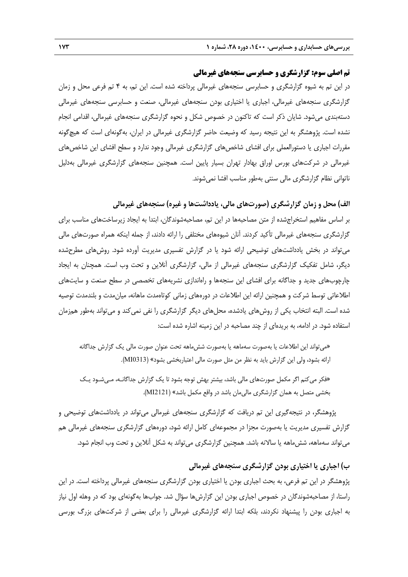## **تم اصلي سوم: گزارشگري و حسابرسي سنجههاي غيرمالي**

در اين تم به شيوه گزارشگري و حسابرسي سنجههاي غيرمالي پرداخته شده است. اين تم، به 4 تم فرعي محل و زمان گزارشگري سنجههاي غيرمالي، اجباري يا اختياري بودن سنجههاي غيرمالي، صنعت و حسابرسي سنجههاي غيرمالي دستهبندي ميشود. شايان ذكر است كه تاكنون در خصوص شكل و نحوه گزارشگري سنجههاي غيرمالي، اقدامي انجام نشده است. پژوهشگر به اين نتيجه رسيد كه وضيعت حاضر گزارشگري غيرمالي در ايران، بهگونهاي است كه هيچگونه مقررات اجباري يا دستورالعملي براي افشاي شاخصهاي گزارشگري غيرمالي وجود ندارد و سطح افشاي اين شاخص هاي غيرمالي در شركتهاي بورس اوراق بهادار تهران بسيار پايين است. همچنين سنجههاي گزارشگري غيرمالي بهدليل ناتواني نظام گزارشگري مالي سنتي بهطور مناسب افشا نميشوند.

**الف) محل و زمان گزارشگري (صورتهاي مالي، يادداشتها و غيره) سنجههاي غيرمالي** 

بر اساس مفاهيم استخراجشده از متن مصاحبهها در اين تم، مصاحبهشوندگان، ابتدا به ايجاد زيرساختهاي مناسب براي گزارشگري سنجههاي غيرمالي تأكيد كردند. آنان شيوههاي مختلفي را ارائه دادند، از جمله اينكه همراه صورتهاي مالي ميتواند در بخش يادداشتهاي توضيحي ارائه شود يا در گزارش تفسيري مديريت آورده شود. روشهاي مطرحشده ديگر، شامل تفكيك گزارشگري سنجههاي غيرمالي از مالي، گزارشگري آنلاين و تحت وب است. همچنان به ايجاد چارچوبهاي جديد و جداگانه براي افشاي اين سنجهها و راهاندازي نشريههاي تخصصي در سطح صنعت و سايتهاي اطلاعاتي توسط شركت و همچنين ارائه اين اطلاعات در دورههاي زماني كوتاهمدت ماهانه، ميانمدت و بلندمدت توصيه شده است. البته انتخاب يكي از روشهاي يادشده، محلهاي ديگر گزارشگري را نفي نميكند و ميتواند بهطور همزمان استفاده شود. در ادامه، به بريدهاي از چند مصاحبه در اين زمينه اشاره شده است:

«ميتواند اين اطلاعات يا بهصورت سهماهه يا بهصورت ششماهه تحت عنوان صورت مالي يك گزارش جداگانه ارائه بشود، ولي اين گزارش بايد به نظر من مثل صورت مالي اعتباربخشي بشود» (0313MI(.

«فكر ميكنم اگر مكمل صورتهاي مالي باشد، بيشتر بهش توجه بشود تا يك گزارش جداگانـه، مـيشـود يـك بخشي متصل به همان گزارشگري ماليمان باشد در واقع مكمل باشد» (2121MI(.

پژوهشگر، در نتيجهگيري اين تم دريافت كه گزارشگري سنجههاي غيرمالي ميتواند در يادداشتهاي توضيحي و گزارش تفسيري مديريت يا بهصورت مجزا در مجموعهاي كامل ارائه شود، دورههاي گزارشگري سنجههاي غيرمالي هم ميتواند سهماهه، ششماهه يا سالانه باشد. همچنين گزارشگري ميتواند به شكل آنلاين و تحت وب انجام شود.

#### **ب) اجباري يا اختياري بودن گزارشگري سنجههاي غيرمالي**

پژوهشگر در اين تم فرعي، به بحث اجباري بودن يا اختياري بودن گزارشگري سنجههاي غيرمالي پرداخته است. در اين راستا، از مصاحبهشوندگان در خصوص اجباري بودن اين گزارشها سؤال شد. جوابها بهگونهاي بود كه در وهله اول نياز به اجباري بودن را پيشنهاد نكردند، بلكه ابتدا ارائه گزارشگري غيرمالي را براي بعضي از شركتهاي بزرگ بورسي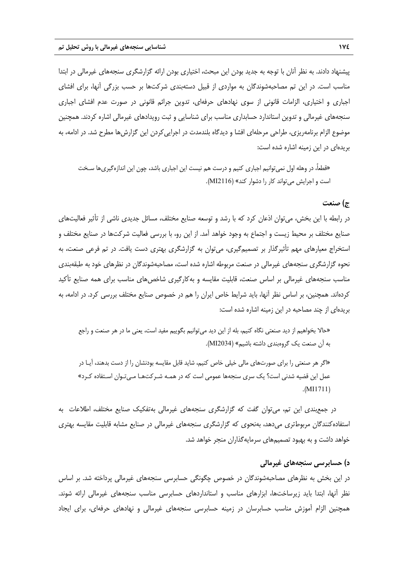پيشنهاد دادند. به نظر آنان با توجه به جديد بودن اين مبحث، اختياري بودن ارائه گزارشگري سنجههاي غيرمالي در ابتدا مناسب است. در اين تم مصاحبهشوندگان به مواردي از قبيل دستهبندي شركتها بر حسب بزرگي آنها، براي افشاي اجباري و اختياري، الزامات قانوني از سوي نهادهاي حرفهاي، تدوين جرائم قانوني در صورت عدم افشاي اجباري سنجههاي غيرمالي و تدوين استاندارد حسابداري مناسب براي شناسايي و ثبت رويدادهاي غيرمالي اشاره كردند. همچنين موضوع الزام برنامهريزي، طراحي مرحلهاي افشا و ديدگاه بلندمدت در اجراييكردن اين گزارشها مطرح شد. در ادامه، به بريدهاي در اين زمينه اشاره شده است:

«قطعا،ً در وهله اول نميتوانيم اجباري كنيم و درست هم نيست اين اجباري باشد، چون اين اندازهگيريها سـخت است و اجرايش ميتواند كار را دشوار كند» (2116MI(.

## **ج) صنعت**

در رابطه با اين بخش، ميتوان اذعان كرد كه با رشد و توسعه صنايع مختلف، مسائل جديدي ناشي از تأثير فعاليتهاي صنايع مختلف بر محيط زيست و اجتماع به وجود خواهد آمد. از اين رو، با بررسي فعاليت شركتها در صنايع مختلف و استخراج معيارهاي مهم تأثيرگذار بر تصميمگيري، ميتوان به گزارشگري بهتري دست يافت. در تم فرعي صنعت، به نحوه گزارشگري سنجههاي غيرمالي در صنعت مربوطه اشاره شده است، مصاحبهشوندگان در نظرهاي خود به طبقهبندي مناسب سنجههاي غيرمالي بر اساس صنعت، قابليت مقايسه و بهكارگيري شاخصهاي مناسب براي همه صنايع تأكيد كردهاند. همچنين، بر اساس نظر آنها، بايد شرايط خاص ايران را هم در خصوص صنايع مختلف بررسي كرد. در ادامه، به بريدهاي از چند مصاحبه در اين زمينه اشاره شده است:

«حالا بخواهيم از ديد صنعتي نگاه كنيم، بله از اين ديد ميتوانيم بگوييم مفيد است، يعني ما در هر صنعت و راجع به آن صنعت يك گروهبندي داشته باشيم» (2034MI(.

«اگر هر صنعتي را براي صورتهاي مالي خيلي خاص كنيم، شايد قابل مقايسه بودنشان را از دست بدهند، آيـا در عمل اين قضيه شدني است؟ يك سري سنجهها عمومي است كه در همـه شـركتهـا مـيتـوان اسـتفاده كـرد» .(MI1711)

در جمعبندي اين تم، ميتوان گفت كه گزارشگري سنجههاي غيرمالي بهتفكيك صنايع مختلف، اطلاعات به استفادهكنندگان مربوطتري ميدهد، بهنحوي كه گزارشگري سنجههاي غيرمالي در صنايع مشابه قابليت مقايسه بهتري خواهد داشت و به بهبود تصميمهاي سرمايهگذاران منجر خواهد شد.

## **د) حسابرسي سنجههاي غيرمالي**

در اين بخش به نظرهاي مصاحبهشوندگان در خصوص چگونگي حسابرسي سنجههاي غيرمالي پرداخته شد. بر اساس نظر آنها، ابتدا بايد زيرساختها، ابزارهاي مناسب و استانداردهاي حسابرسي مناسب سنجههاي غيرمالي ارائه شوند. همچنين الزام آموزش مناسب حسابرسان در زمينه حسابرسي سنجههاي غيرمالي و نهادهاي حرفهاي، براي ايجاد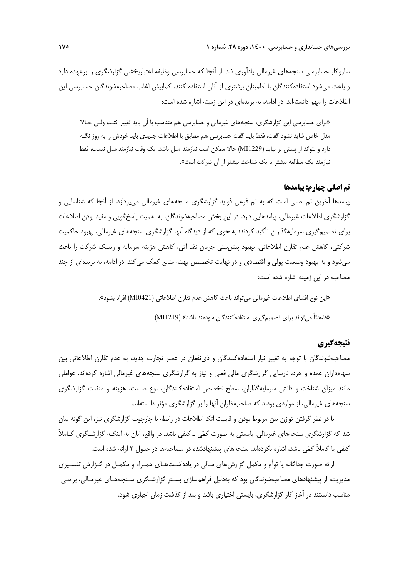سازوكار حسابرسي سنجههاي غيرمالي يادآوري شد. از آنجا كه حسابرسي وظيفه اعتباربخشي گزارشگري را برعهده دارد و باعث ميشود استفادهكنندگان با اطمينان بيشتري از آنان استفاده كنند، كمابيش اغلب مصاحبهشوندگان حسابرسي اين اطلاعات را مهم دانستهاند. در ادامه، به بريدهاي در اين زمينه اشاره شده است:

«براي حسابرسي اين گزارشگري، سنجههاي غيرمالي و حسابرسي هم متناسب با آن بايد تغيير كنـد، ولـي حـالا مدل خاص شايد نشود گفت، فقط بايد گفت حسابرسي هم مطابق با اطلاعات جديدي بايد خودش را به روز نگـه دارد و بتواند از پسش بر بيايد (1229MI (حالا ممكن است نيازمند مدل باشد. يك وقت نيازمند مدل نيست، فقط نيازمند يك مطالعه بيشتر يا يك شناخت بيشتر از آن شركت است».

#### **تم اصلي چهارم: پيامدها**

پيامدها آخرين تم اصلي است كه به تم فرعي فوايد گزارشگري سنجههاي غيرمالي ميپردازد. از آنجا كه شناسايي و گزارشگري اطلاعات غيرمالي، پيامدهايي دارد، در اين بخش مصاحبهشوندگان، به اهميت پاسخگويي و مفيد بودن اطلاعات براي تصميمگيري سرمايهگذاران تأكيد كردند؛ بهنحوي كه از ديدگاه آنها گزارشگري سنجههاي غيرمالي، بهبود حاكميت شركتي، كاهش عدم تقارن اطلاعاتي، بهبود پيشبيني جريان نقد آتي، كاهش هزينه سرمايه و ريسك شركت را باعث ميشود و به بهبود وضعيت پولي و اقتصادي و در نهايت تخصيص بهينه منابع كمك ميكند. در ادامه، به بريدهاي از چند مصاحبه در اين زمينه اشاره شده است:

«اين نوع افشاي اطلاعات غيرمالي ميتواند باعث كاهش عدم تقارن اطلاعاتي (0421MI (افراد بشود».

«قاعدتاً ميتواند براي تصميمگيري استفادهكنندگان سودمند باشد» (1219MI(.

# **نتيجهگيري**

مصاحبهشوندگان با توجه به تغيير نياز استفادهكنندگان و ذينفعان در عصر تجارت جديد، به عدم تقارن اطلاعاتي بين سهامداران عمده و خرد، نارسايي گزارشگري مالي فعلي و نياز به گزارشگري سنجههاي غيرمالي اشاره كردهاند. عواملي مانند ميزان شناخت و دانش سرمايهگذاران، سطح تخصص استفادهكنندگان، نوع صنعت، هزينه و منفعت گزارشگري سنجههاي غيرمالي، از مواردي بودند كه صاحبنظران آنها را بر گزارشگري مؤثر دانستهاند.

با در نظر گرفتن توازن بين مربوط بودن و قابليت اتكا اطلاعات در رابطه با چارچوب گزارشگري نيز، اين گونه بيان شد كه گزارشگري سنجههاي غيرمالي، بايستي به صورت كمي ـ كيفي باشد. در واقع، آنان به اينكـه گزارشـگري كـاملاً كيفي يا كاملاً كمي باشد، اشاره نكردهاند. سنجههاي پيشنهادشده در مصاحبهها در جدول 2 ارائه شده است.

ارائه صورت جداگانه يا توأم و مكمل گزارشهاي مـالي در يادداشـتهـاي همـراه و مكمـل در گـزارش تفسـيري مديريت، از پيشنهادهاي مصاحبهشوندگان بود كه بهدليل فراهمسازي بسـتر گزارشـگري سـنجههـاي غيرمـالي، برخـي مناسب دانستند در آغاز كار گزارشگري، بايستي اختياري باشد و بعد از گذشت زمان اجباري شود.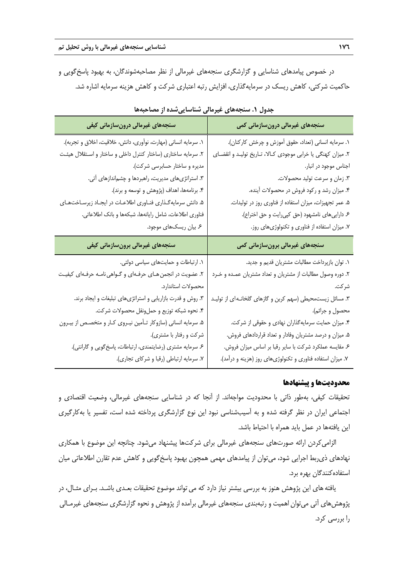در خصوص پيامدهاي شناسايي و گزارشگري سنجههاي غيرمالي از نظر مصاحبهشوندگان، به بهبود پاسخگويي و حاكميت شركتي، كاهش ريسك در سرمايهگذاري، افزايش رتبه اعتباري شركت و كاهش هزينه سرمايه اشاره شد.

| سنجەهای غیرمالی درونسازمانی کیفی                                | سنجەھای غیرمالی درونسازمانی کمی                              |
|-----------------------------------------------------------------|--------------------------------------------------------------|
| ۱. سرمایه انسانی (مهارت، نوآوری، دانش، خلاقیت، اخلاق و تجربه).  | ۱. سرمایه انسانی (تعداد، حقوق آموزش و چرخش کارکنان).         |
| ۲. سرمایه ساختاری (ساختار کنترل داخلی و ساختار و اسـتقلال هیئـت | ٢. میزان کهنگی یا خرابی موجودی کالا، تاریخ تولید و انقضای    |
| مدیره و ساختار حسابرسی شرکت).                                   | اجناس موجود در انبار.                                        |
| ۳. استراتژیهای مدیریت، راهبردها و چشماندازهای آتی.              | ٣. زمان و سرعت توليد محصولات.                                |
| ۴. برنامهها، اهداف (پژوهش و توسعه و برند).                      | ۴. میزان رشد و رکود فروش در محصولات آینده.                   |
| ۵. دانش سرمایهگذاری فنـاوری اطلاعـات در ایجـاد زیرسـاختهـای     | ۵. عمر تجهیزات، میزان استفاده از فناوری روز در تولیدات.      |
| فناوري اطلاعات، شامل رايانهها، شبكهها و بانك اطلاعاتي.          | ۶. داراییهای نامشهود (حق کپیرایت و حق اختراع).               |
| ۶. بیان ریسکهای موجود.                                          | ٧. میزان استفاده از فناوری و تکنولوژیهای روز.                |
|                                                                 |                                                              |
| سنجەهای غیرمالی برونسازمانی کیفی                                | سنجەھای غیرمالی برونسازمانی کمی                              |
| ١. ارتباطات و حمايتهاى سياسى دولتى.                             | ٠. توان بازپرداخت مطالبات مشتريان قديم و جديد.               |
| ۲. عضویت در انجمن هـای حرفـهای و گـواهی نامـه حرفـهای کیفیـت    | ۲. دوره وصول مطالبات از مشتریان و تعداد مشتریان عمـده و خـرد |
| محصولات استاندارد.                                              | شر كت.                                                       |
| ٣. روش و قدرت بازاريابي و استراتژيهاي تبليغات و ايجاد برند.     | ۳. مسائل زیستمحیطی (سهم کربن و گازهای گلخانـه ی از تولیـد    |
| ۴. نحوه شبكه توزيع و حملونقل محصولات شركت.                      | محصول و جرائم).                                              |
| ۵. سرمایه انسانی (سازوکار تـأمین نیـروی کـار و متخصـص از بیـرون | ۴. میزان حمایت سرمایهگذاران نهادی و حقوقی از شرکت.           |
| شرکت و رفتار با مشتری).                                         | ۵. میزان و درصد مشتریان وفادار و تعداد قراردادهای فروش.      |
| ۶. سرمایه مشتری (رضایتمندی، ارتباطات، پاسخگویی و گارانتی).      | ع مقايسه عملكرد شركت با ساير رقبا بر اساس ميزان فروش.        |

**جدول .1 سنجههاي غيرمالي شناساييشده از مصاحبهها** 

#### **محدوديتها و پيشنهادها**

تحقيقات كيفي، بهطور ذاتي با محدوديت مواجهاند. از آنجا كه در شناسايي سنجههاي غيرمالي، وضعيت اقتصادي و اجتماعي ايران در نظر گرفته شده و به آسيبشناسي نبود اين نوع گزارشگري پرداخته شده است، تفسير يا بهكارگيري اين يافتهها در عمل بايد همراه با احتياط باشد.

الزاميكردن ارائه صورتهاي سنجههاي غيرمالي براي شركتها پيشنهاد ميشود. چنانچه اين موضوع با همكاري نهادهاي ذيربط اجرايي شود، ميتوان از پيامدهاي مهمي همچون بهبود پاسخگويي و كاهش عدم تقارن اطلاعاتي ميان استفادهكنندگان بهره برد.

يافتههاي اين پژوهش هنوز به بررسي بيشتر نياز دارد كه ميتواند موضوع تحقيقات بعـدي باشـد. بـراي مثـال، در پژوهشهاي آتي ميتوان اهميت و رتبهبندي سنجههاي غيرمالي برآمده از پژوهش و نحوه گزارشگري سنجههاي غيرمـالي را بررسي كرد.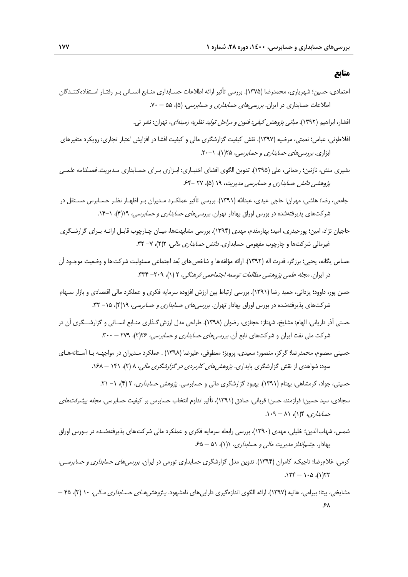## **منابع**

- اعتمادي، حسين؛ شهرياري، محمدرضا (1375). بررسي تأثير ارائه اطلاعات حسـابداري منـابع انسـاني بـر رفتـار اسـتفادهكننـدگان اطلاعات حسابداري در ايران. *بررسي هاي حسابداري و حسابرسي،* (۵)، ۵۵ – ۷۰.
	- افشار، ابراهيم (1392). مباني پژوهش كيفي: فنون <sup>و</sup> مراحل توليد نظريه زمينهاي، تهران: نشر ني.
- افلاطوني، عباس؛ نعمتي، مرضيه (1397). نقش كيفيت گزارشگري مالي و كيفيت افشا در افزايش اعتبار تجاري: رويكرد متغيرهاي ابزاري. بررسي هاي حس*ابداري و حسابرسي، ٢*٥(١)، ٠-٢٠.
- بشيري منش، نازنين؛ رحماني، علي (1395). تدوين الگوي افشاي اختيـاري: ابـزاري بـراي حسـابداري مـديريت. فصـلنامه علمـي پژوهشي دانش حسابداري و حسابرسي مديريت، ١٩ (۵)، ٢٧ -۶۴
- جامعي، رضا؛ هلشي، مهران؛ حاجي عيدي، عبداالله (1391). بررسي تأثير عملكـرد مـديران بـر اظهـار نظـر حسـابرس مسـتقل در شركتهاي پذيرفتهشده در بورس اوراق بهادار تهران. *بررسيهاي حسابداري و حسابرسي، ١٩(*۴)، ١-١۴.
- حاجيان نژاد، امين؛ پورحيدري، اميد؛ بهارمقدم، مهدي (1394). بررسي مشابهتها، ميـان چـارچوب قابـل ارائـه بـراي گزارشـگري غيرمالي شركتها و چارچوب مفهومي حسابداري. *دانش حسابداري مالي،* 7(٢)، ٧- ٣٢.
- حساس يگانه، يحيي؛ برزگر، قدرت اله (١٣٩٢). ارائه مؤلفهها و شاخص هاي بُعد اجتماعي مسئوليت شركت ها و وضعيت موجـود آن در ايران. مجله علمي پژوهشي مطالعات توسعه اجتماعمي فرهنگي، 2 (1)، -209 .334
- حسن پور، داوود؛ يزداني، حميد رضا (1391). بررسي ارتباط بين ارزش افزوده سرمايه فكري و عملكرد مالي اقتصادي و بازار سـهام شركتهاي پذيرفتهشده در بورس اوراق بهادار تهران. *بررسيهاي حسابداري و حسابرسي، ١٩(*۴)، ١۵- ٣٢.
- حسني آذر دارياني، الهام؛ مشايخ، شهناز؛ حجازي، رضوان (1398). طراحي مدل ارزشگـذاري منـابع انسـاني و گزارشــگري آن در شركت ملي نفت ايران و شركتهاي تابع آن. بررسيهاي حسابداري <sup>و</sup> حسابرسي، 26(2)، 279 – .300
- حسيني معصوم، محمدرضا؛ گركز، منصور؛ سعيدي، پرويز؛ معطوفي، عليرضا (1398) . عملكرد مـديران در مواجهـه بـا آسـتانههـاي سود: شواهدي از نقش گزارشگري پايداري. *پژوهش هاي كاربردي در گزارشگري مالي، ۸* (۲)، ۱۴۱ – ۱۶۸.

حسيني، جواد، كرمشاهي، بهنام (١٣٩١). بهبود گزارشگري مالي و حسابرسي. *پژوهش حسابداري*، ٢ (۴)، ١- ٢١.

- سجادي، سيد حسين؛ فرازمند، حسن؛ قرباني، صادق (1391)، تأثير تداوم انتخاب حسابرس بر كيفيت حسابرسي. مجله پيشرفتهاي  $\lambda \cdot \theta - \lambda \cdot (1)$ ،  $\theta - \theta - \theta$
- شمس، شهابالدين؛ خليلي، مهدي (1390). بررسي رابطه سرمايه فكري و عملكرد مالي شركتهاي پذيرفتهشـده در بـورس اوراق بهادار. چشمانداز مديريت مالي <sup>و</sup> حسابداري، 1(1)، 51 – .65
- كرمي، غلامرضا؛ تاجيك، كامران (1394). تدوين مدل گزارشگري حسابداري تورمي در ايران. بررسيهاي حسابداري <sup>و</sup> حسابرسـي،  $.174 - 1.0$  (1)72
- مشايخي، بيتا؛ بيرامي، هانيه (1397). ارائه الگوي اندازهگيري داراييهاي نامشهود. پـژوهشهـاي حسـابداري مـالي، 10 (3)، 45 .68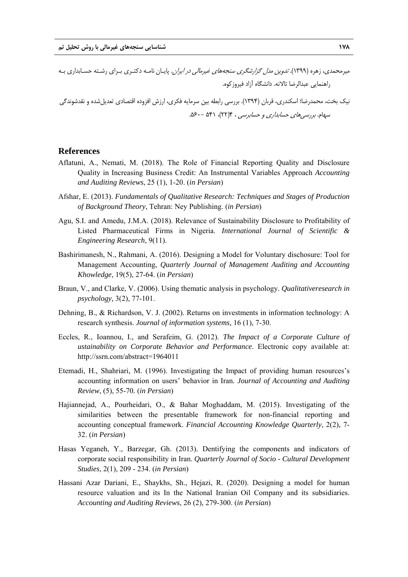ميرمحمدي، زهره (۱۳۹۹). *تدوين مدل گزارشگري سنجههاي غيرمالي در ايران*. پايـان نامـه دكتـري بـراي رشـته حسـابداري بـه راهنمايي عبدالرضا تالانه. دانشگاه آزاد فيروزكوه.

نيك بخت، محمدرضا؛ اسكندري، قربان (1394). بررسي رابطه بين سرمايه فكري، ارزش افزوده اقتصادي تعديلشده و نقدشوندگي سهام. بررسي هاي حسابداري و حسابرسي ، ۴(٢٢)، ۵۴۱ -۶۰۰.

#### **References**

- Aflatuni, A., Nemati, M. (2018). The Role of Financial Reporting Quality and Disclosure Quality in Increasing Business Credit: An Instrumental Variables Approach *Accounting and Auditing Reviews*, 25 (1), 1-20. (*in Persian*)
- Afshar, E. (2013). *Fundamentals of Qualitative Research: Techniques and Stages of Production of Background Theory*, Tehran: Ney Publishing. (*in Persian*)
- Agu, S.I. and Amedu, J.M.A. (2018). Relevance of Sustainability Disclosure to Profitability of Listed Pharmaceutical Firms in Nigeria. *International Journal of Scientific & Engineering Research*, 9(11).
- Bashirimanesh, N., Rahmani, A. (2016). Designing a Model for Voluntary dischosure: Tool for Management Accounting, *Quarterly Journal of Management Auditing and Accounting Khowledge*, 19(5), 27-64. (*in Persian*)
- Braun, V., and Clarke, V. (2006). Using thematic analysis in psychology. *Qualitativeresearch in psychology,* 3(2), 77-101.
- Dehning, B., & Richardson, V. J. (2002). Returns on investments in information technology: A research synthesis. *Journal of information systems,* 16 (1), 7-30.
- Eccles, R., Ioannou, I., and Serafeim, G. (2012). *The Impact of a Corporate Culture of ustainability on Corporate Behavior and Performance*. Electronic copy available at: http://ssrn.com/abstract=1964011
- Etemadi, H., Shahriari, M. (1996). Investigating the Impact of providing human resources's accounting information on users' behavior in Iran*. Journal of Accounting and Auditing Review*, (5), 55-70*.* (*in Persian*)
- Hajiannejad, A., Pourheidari, O., & Bahar Moghaddam, M. (2015). Investigating of the similarities between the presentable framework for non-financial reporting and accounting conceptual framework. *Financial Accounting Knowledge Quarterly*, 2(2), 7- 32. (*in Persian*)
- Hasas Yeganeh, Y., Barzegar, Gh. (2013). Dentifying the components and indicators of corporate social responsibility in Iran. *Quarterly Journal of Socio - Cultural Development Studies*, 2(1), 209 - 234. (*in Persian*)
- Hassani Azar Dariani, E., Shaykhs, Sh., Hejazi, R. (2020). Designing a model for human resource valuation and its In the National Iranian Oil Company and its subsidiaries. *Accounting and Auditing Reviews*, 26 (2), 279-300. (*in Persian*)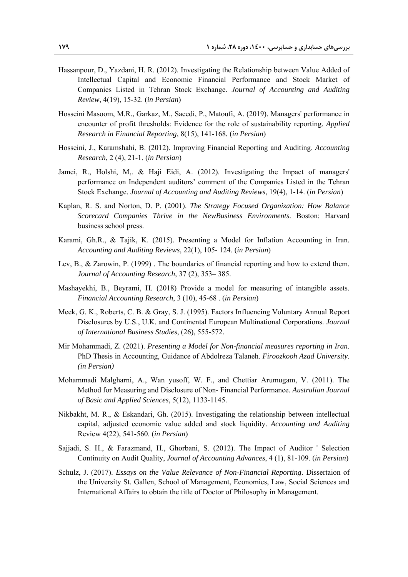- Hassanpour, D., Yazdani, H. R. (2012). Investigating the Relationship between Value Added of Intellectual Capital and Economic Financial Performance and Stock Market of Companies Listed in Tehran Stock Exchange. *Journal of Accounting and Auditing Review*, 4(19), 15-32. (*in Persian*)
- Hosseini Masoom, M.R., Garkaz, M., Saeedi, P., Matoufi, A. (2019). Managers' performance in encounter of profit thresholds: Evidence for the role of sustainability reporting. *Applied Research in Financial Reporting*, 8(15), 141-168*.* (*in Persian*)
- Hosseini, J., Karamshahi, B. (2012). Improving Financial Reporting and Auditing. *Accounting Research*, 2 (4), 21-1. (*in Persian*)
- Jamei, R., Holshi, M,. & Haji Eidi, A. (2012). Investigating the Impact of managers' performance on Independent auditors' comment of the Companies Listed in the Tehran Stock Exchange. *Journal of Accounting and Auditing Reviews*, 19(4), 1-14. (*in Persian*)
- Kaplan, R. S. and Norton, D. P. (2001). *The Strategy Focused Organization: How Balance Scorecard Companies Thrive in the NewBusiness Environments*. Boston: Harvard business school press.
- Karami, Gh.R., & Tajik, K. (2015). Presenting a Model for Inflation Accounting in Iran. *Accounting and Auditing Reviews*, 22(1), 105- 124. (*in Persian*)
- Lev, B., & Zarowin, P. (1999) . The boundaries of financial reporting and how to extend them. *Journal of Accounting Research*, 37 (2), 353– 385.
- Mashayekhi, B., Beyrami, H. (2018) Provide a model for measuring of intangible assets. *Financial Accounting Research*, 3 (10), 45-68 . (*in Persian*)
- Meek, G. K., Roberts, C. B. & Gray, S. J. (1995). Factors Influencing Voluntary Annual Report Disclosures by U.S., U.K. and Continental European Multinational Corporations. *Journal of International Business Studies*, (26), 555-572.
- Mir Mohammadi, Z. (2021). *Presenting a Model for Non-financial measures reporting in Iran.* PhD Thesis in Accounting, Guidance of Abdolreza Talaneh. *Firoozkooh Azad University. (in Persian)*
- Mohammadi Malgharni, A., Wan yusoff, W. F., and Chettiar Arumugam, V. (2011). The Method for Measuring and Disclosure of Non- Financial Performance. *Australian Journal of Basic and Applied Sciences*, 5(12), 1133-1145.
- Nikbakht, M. R., & Eskandari, Gh. (2015). Investigating the relationship between intellectual capital, adjusted economic value added and stock liquidity. *Accounting and Auditing*  Review 4(22), 541-560. (*in Persian*)
- Sajjadi, S. H., & Farazmand, H., Ghorbani, S. (2012). The Impact of Auditor ' Selection Continuity on Audit Quality, *Journal of Accounting Advances*, 4 (1), 81-109. (*in Persian*)
- Schulz, J. (2017). *Essays on the Value Relevance of Non-Financial Reporting*. Dissertaion of the University St. Gallen, School of Management, Economics, Law, Social Sciences and International Affairs to obtain the title of Doctor of Philosophy in Management.